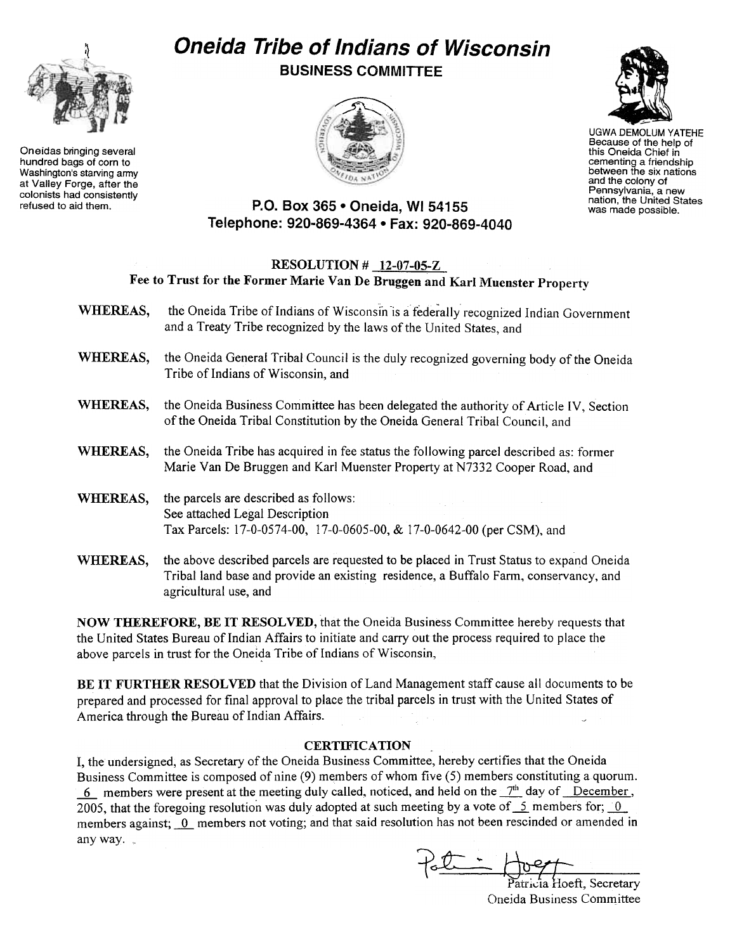

Oneidas bringing several hundred bags of corn to Washington's starving army at Valley Forge, after the colonists had consistently<br>refused to aid them.

## Oneida Tribe of Indians of Wisconsin BUSINESS COMMITTEE





UGWA DEMOLUM YATEHE Because of the help of this Oneida Chief in cementing a friendship between the six nations and the colony of Pennsylvania, a new nation, the United States was made possible.

## P.O. Box 365 . Oneida, WI 54155 Telephone: 920-869-4364 · Fax: 920-869-4040

## RESOLUTION # 12-07-05-Z Fee to Trust for the Former Marie Van De Bruggen and Karl Muenster Property

- WHEREAS, the Oneida Tribe of Indians of Wisconsin is a federally recognized Indian Government and a Treaty Tribe recognized by the laws of the United States, and
- WHEREAS, the Oneida General Tribal Council is the duly recognized governing body of the Oneida Tribe of Indians of Wisconsin, and
- WHEREAS, the Oneida Business Committee has been delegated the authority of Article IV, Section of the Oneida Tribal Constitution by the Oneida General Tribal Council, and
- WHEREAS, the Oneida Tribe has acquired in fee status the following parcel described as: former Marie Van De Bruggen and Karl Muenster Property at N7332 Cooper Road, and
- WHEREAS, the parcels are described as follows: See attached Legal Description Tax Parcels: 17-0-0574-00, 17-0-0605-00, & 17-0-0642-00 (per CSM), and
- WHEREAS, the above described parcels are requested to be placed in Trust Status to expand Oneida Tribal land base and provide an existing residence, a Buffalo Farm, conservancy, and agricultural use, and

NOW THEREFORE, BE IT RESOLVED, that the Oneida Business Committee hereby requests that the United States Bureau of Indian Affairs to initiate and carry out the process required to place the above parcels in trust for the Oneida Tribe of Indians of Wisconsin,

BE IT FURTHER RESOLVED that the Division of Land Management staff cause all documents to be prepared and processed for final approval to place the tribal parcels in trust with the United States of America through the Bureau of Indian Affairs.

## **CERTIFICATION**

I, the undersigned, as Secretary of the Oneida Business Committee, hereby certifies that the Oneida Business Committee is composed of nine (9) members of whom five (5) members constituting a quorum.  $\frac{6}{2}$  members were present at the meeting duly called, noticed, and held on the  $\frac{7}{6}$  day of December, 2005, that the foregoing resolution was duly adopted at such meeting by a vote of  $\leq$  members for;  $\frac{0}{2}$ members against;  $\overline{0}$  members not voting; and that said resolution has not been rescinded or amended in any way.

atricia Hoeft, Secretary Oneida Business Committee